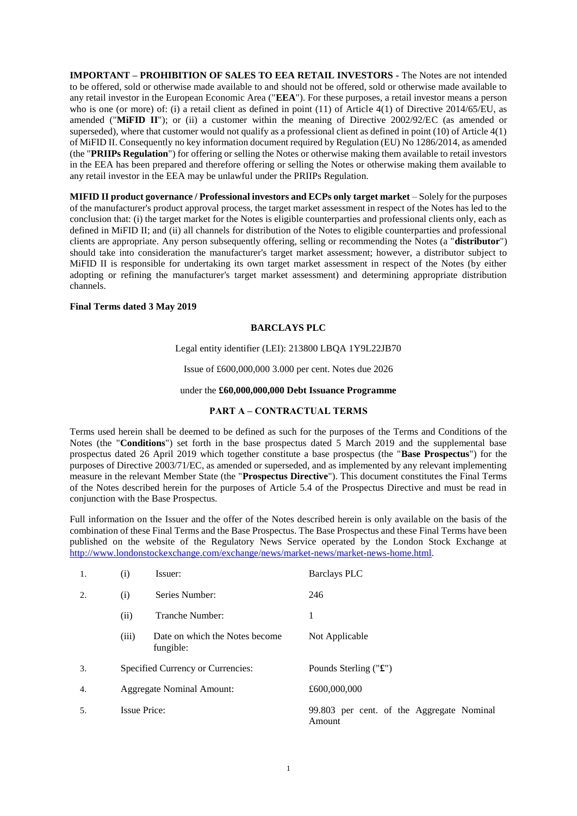**IMPORTANT – PROHIBITION OF SALES TO EEA RETAIL INVESTORS -** The Notes are not intended to be offered, sold or otherwise made available to and should not be offered, sold or otherwise made available to any retail investor in the European Economic Area ("**EEA**"). For these purposes, a retail investor means a person who is one (or more) of: (i) a retail client as defined in point (11) of Article 4(1) of Directive 2014/65/EU, as amended ("**MiFID II**"); or (ii) a customer within the meaning of Directive 2002/92/EC (as amended or superseded), where that customer would not qualify as a professional client as defined in point (10) of Article 4(1) of MiFID II. Consequently no key information document required by Regulation (EU) No 1286/2014, as amended (the "**PRIIPs Regulation**") for offering or selling the Notes or otherwise making them available to retail investors in the EEA has been prepared and therefore offering or selling the Notes or otherwise making them available to any retail investor in the EEA may be unlawful under the PRIIPs Regulation.

**MIFID II product governance / Professional investors and ECPs only target market** – Solely for the purposes of the manufacturer's product approval process, the target market assessment in respect of the Notes has led to the conclusion that: (i) the target market for the Notes is eligible counterparties and professional clients only, each as defined in MiFID II; and (ii) all channels for distribution of the Notes to eligible counterparties and professional clients are appropriate. Any person subsequently offering, selling or recommending the Notes (a "**distributor**") should take into consideration the manufacturer's target market assessment; however, a distributor subject to MiFID II is responsible for undertaking its own target market assessment in respect of the Notes (by either adopting or refining the manufacturer's target market assessment) and determining appropriate distribution channels.

#### **Final Terms dated 3 May 2019**

#### **BARCLAYS PLC**

### Legal entity identifier (LEI): 213800 LBQA 1Y9L22JB70

#### Issue of £600,000,000 3.000 per cent. Notes due 2026

#### under the **£60,000,000,000 Debt Issuance Programme**

#### **PART A – CONTRACTUAL TERMS**

Terms used herein shall be deemed to be defined as such for the purposes of the Terms and Conditions of the Notes (the "**Conditions**") set forth in the base prospectus dated 5 March 2019 and the supplemental base prospectus dated 26 April 2019 which together constitute a base prospectus (the "**Base Prospectus**") for the purposes of Directive 2003/71/EC, as amended or superseded, and as implemented by any relevant implementing measure in the relevant Member State (the "**Prospectus Directive**"). This document constitutes the Final Terms of the Notes described herein for the purposes of Article 5.4 of the Prospectus Directive and must be read in conjunction with the Base Prospectus.

Full information on the Issuer and the offer of the Notes described herein is only available on the basis of the combination of these Final Terms and the Base Prospectus. The Base Prospectus and these Final Terms have been published on the website of the Regulatory News Service operated by the London Stock Exchange at [http://www.londonstockexchange.com/exchange/news/market-news/market-news-home.html.](http://www.londonstockexchange.com/exchange/news/market-news/market-news-home.html)

| 1.  | (i)                               | Issuer:                                     | <b>Barclays PLC</b>                                 |
|-----|-----------------------------------|---------------------------------------------|-----------------------------------------------------|
| 2.  | (i)                               | Series Number:                              | 246                                                 |
|     | (ii)                              | Tranche Number:                             | 1                                                   |
|     | (iii)                             | Date on which the Notes become<br>fungible: | Not Applicable                                      |
| 3.  | Specified Currency or Currencies: |                                             | Pounds Sterling ("£")                               |
| 4.  | Aggregate Nominal Amount:         |                                             | £600,000,000                                        |
| .5. | <b>Issue Price:</b>               |                                             | 99.803 per cent. of the Aggregate Nominal<br>Amount |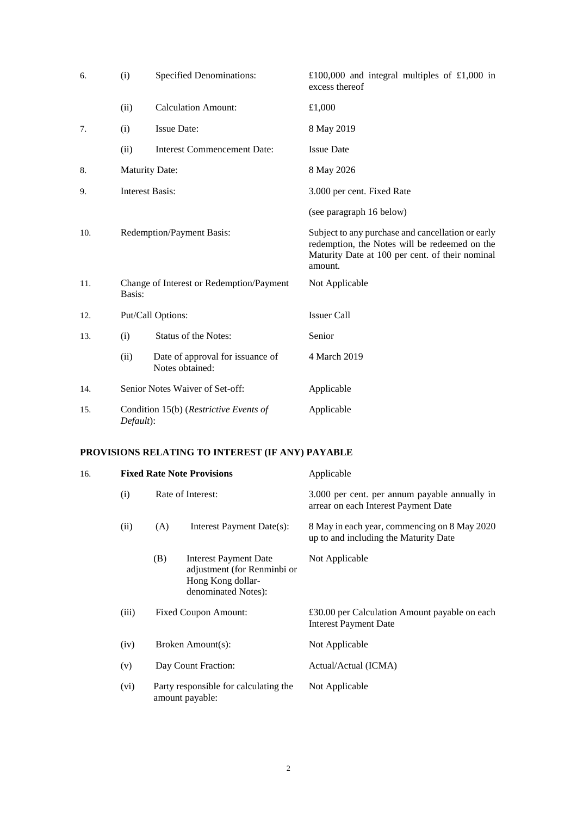| 6.  | (i)                                                 | <b>Specified Denominations:</b>                     | £100,000 and integral multiples of £1,000 in<br>excess thereof                                                                                                   |  |  |  |
|-----|-----------------------------------------------------|-----------------------------------------------------|------------------------------------------------------------------------------------------------------------------------------------------------------------------|--|--|--|
|     | <b>Calculation Amount:</b><br>(ii)                  |                                                     | £1,000                                                                                                                                                           |  |  |  |
| 7.  | (i)                                                 | <b>Issue Date:</b>                                  | 8 May 2019                                                                                                                                                       |  |  |  |
|     | (ii)                                                | <b>Interest Commencement Date:</b>                  | <b>Issue Date</b>                                                                                                                                                |  |  |  |
| 8.  | <b>Maturity Date:</b>                               |                                                     | 8 May 2026                                                                                                                                                       |  |  |  |
| 9.  | <b>Interest Basis:</b>                              |                                                     | 3.000 per cent. Fixed Rate                                                                                                                                       |  |  |  |
|     |                                                     |                                                     | (see paragraph 16 below)                                                                                                                                         |  |  |  |
| 10. | Redemption/Payment Basis:                           |                                                     | Subject to any purchase and cancellation or early<br>redemption, the Notes will be redeemed on the<br>Maturity Date at 100 per cent. of their nominal<br>amount. |  |  |  |
| 11. | Change of Interest or Redemption/Payment<br>Basis:  |                                                     | Not Applicable                                                                                                                                                   |  |  |  |
| 12. | Put/Call Options:                                   |                                                     | <b>Issuer Call</b>                                                                                                                                               |  |  |  |
| 13. | (i)                                                 | <b>Status of the Notes:</b>                         | Senior                                                                                                                                                           |  |  |  |
|     | (ii)                                                | Date of approval for issuance of<br>Notes obtained: | 4 March 2019                                                                                                                                                     |  |  |  |
| 14. | Senior Notes Waiver of Set-off:                     |                                                     | Applicable                                                                                                                                                       |  |  |  |
| 15. | Condition 15(b) (Restrictive Events of<br>Default): |                                                     | Applicable                                                                                                                                                       |  |  |  |

# **PROVISIONS RELATING TO INTEREST (IF ANY) PAYABLE**

| 16. | <b>Fixed Rate Note Provisions</b> |                                                                                                                |  | Applicable                                                                            |  |  |
|-----|-----------------------------------|----------------------------------------------------------------------------------------------------------------|--|---------------------------------------------------------------------------------------|--|--|
|     | (i)                               | Rate of Interest:                                                                                              |  | 3.000 per cent. per annum payable annually in<br>arrear on each Interest Payment Date |  |  |
|     | (ii)                              | (A)<br>Interest Payment Date(s):                                                                               |  | 8 May in each year, commencing on 8 May 2020<br>up to and including the Maturity Date |  |  |
|     |                                   | (B)<br><b>Interest Payment Date</b><br>adjustment (for Renminbi or<br>Hong Kong dollar-<br>denominated Notes): |  | Not Applicable                                                                        |  |  |
|     | (iii)                             | Fixed Coupon Amount:                                                                                           |  | £30.00 per Calculation Amount payable on each<br><b>Interest Payment Date</b>         |  |  |
|     | (iv)                              | Broken Amount(s):                                                                                              |  | Not Applicable                                                                        |  |  |
|     | (v)                               | Day Count Fraction:                                                                                            |  | Actual/Actual (ICMA)                                                                  |  |  |
|     | (vi)                              | Party responsible for calculating the<br>amount payable:                                                       |  | Not Applicable                                                                        |  |  |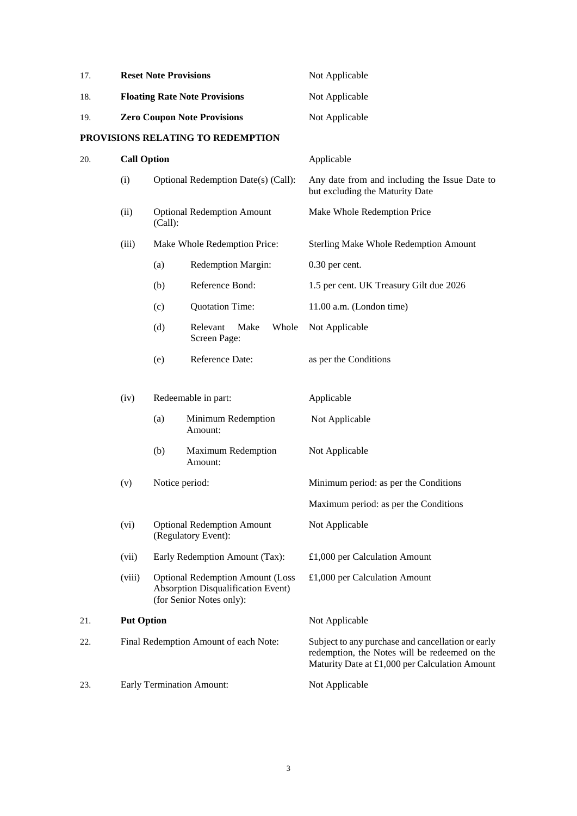| 17. | <b>Reset Note Provisions</b><br><b>Floating Rate Note Provisions</b>                                                       |                                                          |                                           | Not Applicable<br>Not Applicable                                                                                                                     |  |  |
|-----|----------------------------------------------------------------------------------------------------------------------------|----------------------------------------------------------|-------------------------------------------|------------------------------------------------------------------------------------------------------------------------------------------------------|--|--|
| 18. |                                                                                                                            |                                                          |                                           |                                                                                                                                                      |  |  |
| 19. | <b>Zero Coupon Note Provisions</b>                                                                                         |                                                          |                                           | Not Applicable                                                                                                                                       |  |  |
|     |                                                                                                                            |                                                          | PROVISIONS RELATING TO REDEMPTION         |                                                                                                                                                      |  |  |
| 20. | <b>Call Option</b>                                                                                                         |                                                          |                                           | Applicable                                                                                                                                           |  |  |
|     | (i)                                                                                                                        |                                                          | Optional Redemption Date(s) (Call):       | Any date from and including the Issue Date to<br>but excluding the Maturity Date                                                                     |  |  |
|     | <b>Optional Redemption Amount</b><br>(ii)<br>(Call):                                                                       |                                                          |                                           | Make Whole Redemption Price                                                                                                                          |  |  |
|     | (iii)                                                                                                                      |                                                          | Make Whole Redemption Price:              | <b>Sterling Make Whole Redemption Amount</b>                                                                                                         |  |  |
|     |                                                                                                                            | (a)                                                      | Redemption Margin:                        | 0.30 per cent.                                                                                                                                       |  |  |
|     |                                                                                                                            | (b)                                                      | Reference Bond:                           | 1.5 per cent. UK Treasury Gilt due 2026                                                                                                              |  |  |
|     |                                                                                                                            | (c)                                                      | Quotation Time:                           | 11.00 a.m. (London time)                                                                                                                             |  |  |
|     |                                                                                                                            | (d)                                                      | Whole<br>Relevant<br>Make<br>Screen Page: | Not Applicable                                                                                                                                       |  |  |
|     |                                                                                                                            | (e)                                                      | Reference Date:                           | as per the Conditions                                                                                                                                |  |  |
|     | (iv)<br>Redeemable in part:                                                                                                |                                                          |                                           | Applicable                                                                                                                                           |  |  |
|     |                                                                                                                            | (a)                                                      | Minimum Redemption<br>Amount:             | Not Applicable                                                                                                                                       |  |  |
|     |                                                                                                                            | (b)                                                      | Maximum Redemption<br>Amount:             | Not Applicable                                                                                                                                       |  |  |
|     | Notice period:<br>(v)                                                                                                      |                                                          |                                           | Minimum period: as per the Conditions                                                                                                                |  |  |
|     |                                                                                                                            |                                                          |                                           | Maximum period: as per the Conditions                                                                                                                |  |  |
|     | (vi)                                                                                                                       | <b>Optional Redemption Amount</b><br>(Regulatory Event): |                                           | Not Applicable                                                                                                                                       |  |  |
|     | (vii)                                                                                                                      | Early Redemption Amount (Tax):                           |                                           | £1,000 per Calculation Amount                                                                                                                        |  |  |
|     | <b>Optional Redemption Amount (Loss</b><br>(viii)<br><b>Absorption Disqualification Event)</b><br>(for Senior Notes only): |                                                          |                                           | £1,000 per Calculation Amount                                                                                                                        |  |  |
| 21. |                                                                                                                            | <b>Put Option</b>                                        |                                           | Not Applicable                                                                                                                                       |  |  |
| 22. |                                                                                                                            | Final Redemption Amount of each Note:                    |                                           | Subject to any purchase and cancellation or early<br>redemption, the Notes will be redeemed on the<br>Maturity Date at £1,000 per Calculation Amount |  |  |
| 23. |                                                                                                                            |                                                          | <b>Early Termination Amount:</b>          | Not Applicable                                                                                                                                       |  |  |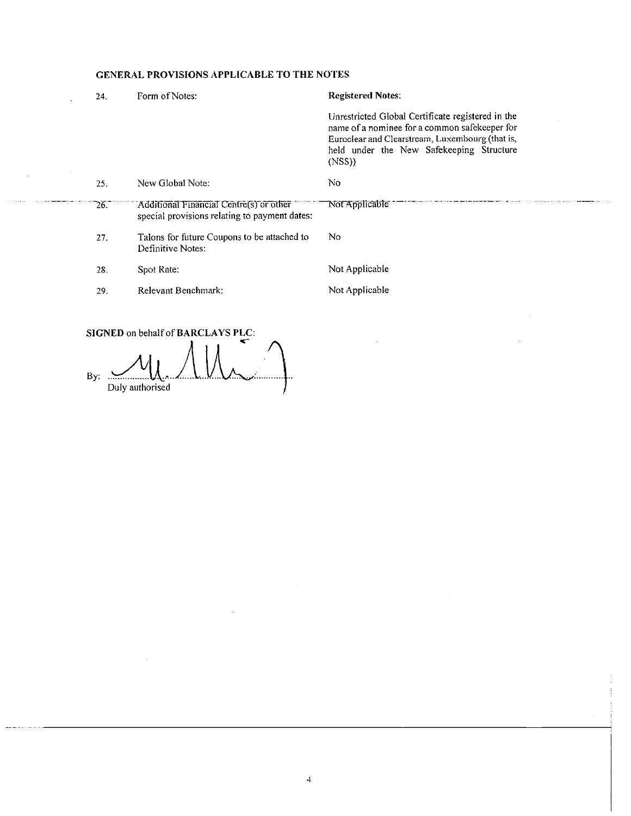## GENERAL PROVISIONS APPLICABLE TO THE NOTES

| 24. | Form of Notes:                                                                           | <b>Registered Notes:</b>                                                                                                                                                                                   |
|-----|------------------------------------------------------------------------------------------|------------------------------------------------------------------------------------------------------------------------------------------------------------------------------------------------------------|
|     |                                                                                          | Unrestricted Global Certificate registered in the<br>name of a nominee for a common safekeeper for<br>Euroclear and Clearstream, Luxembourg (that is,<br>held under the New Safekeeping Structure<br>(NSS) |
| 25. | New Global Note:                                                                         | No.                                                                                                                                                                                                        |
| 26. | Additional Financial Centre(s) or other<br>special provisions relating to payment dates: | Not Applicable                                                                                                                                                                                             |
| 27. | Talons for future Coupons to be attached to<br>Definitive Notes:                         | No.                                                                                                                                                                                                        |
| 28. | Spot Rate:                                                                               | Not Applicable                                                                                                                                                                                             |
| 29. | Relevant Benchmark:                                                                      | Not Applicable                                                                                                                                                                                             |
|     |                                                                                          |                                                                                                                                                                                                            |

SIGNED on behalf of BARCLAYS PLC:

l,

 $\mathcal{L}_{\text{max}}$  and  $\mathcal{L}_{\text{max}}$  and  $\mathcal{L}_{\text{max}}$ 

 $\hat{\phi}$  is the<br>transition of the product maximum

By:  $\therefore$ Duly authorised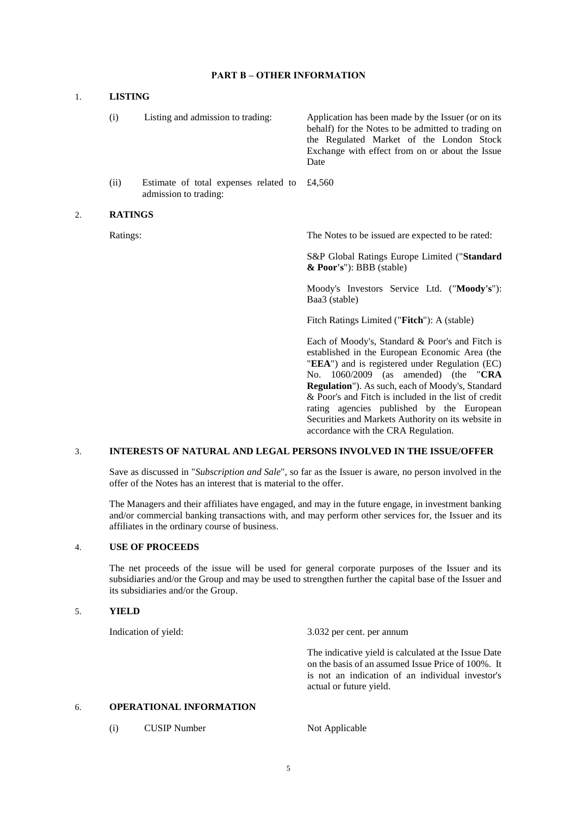#### **PART B – OTHER INFORMATION**

#### 1. **LISTING**

(i) Listing and admission to trading: Application has been made by the Issuer (or on its behalf) for the Notes to be admitted to trading on the Regulated Market of the London Stock Exchange with effect from on or about the Issue Date (ii) Estimate of total expenses related to £4,560 admission to trading: 2. **RATINGS** Ratings: The Notes to be issued are expected to be rated:

> S&P Global Ratings Europe Limited ("**Standard & Poor's**"): BBB (stable)

> Moody's Investors Service Ltd. ("**Moody's**"): Baa3 (stable)

Fitch Ratings Limited ("**Fitch**"): A (stable)

Each of Moody's, Standard & Poor's and Fitch is established in the European Economic Area (the "**EEA**") and is registered under Regulation (EC) No. 1060/2009 (as amended) (the "**CRA Regulation**"). As such, each of Moody's, Standard & Poor's and Fitch is included in the list of credit rating agencies published by the European Securities and Markets Authority on its website in accordance with the CRA Regulation.

#### 3. **INTERESTS OF NATURAL AND LEGAL PERSONS INVOLVED IN THE ISSUE/OFFER**

Save as discussed in "*Subscription and Sale*", so far as the Issuer is aware, no person involved in the offer of the Notes has an interest that is material to the offer.

The Managers and their affiliates have engaged, and may in the future engage, in investment banking and/or commercial banking transactions with, and may perform other services for, the Issuer and its affiliates in the ordinary course of business.

### 4. **USE OF PROCEEDS**

The net proceeds of the issue will be used for general corporate purposes of the Issuer and its subsidiaries and/or the Group and may be used to strengthen further the capital base of the Issuer and its subsidiaries and/or the Group.

#### 5. **YIELD**

Indication of yield: 3.032 per cent. per annum

The indicative yield is calculated at the Issue Date on the basis of an assumed Issue Price of 100%. It is not an indication of an individual investor's actual or future yield.

## 6. **OPERATIONAL INFORMATION**

(i) CUSIP Number Not Applicable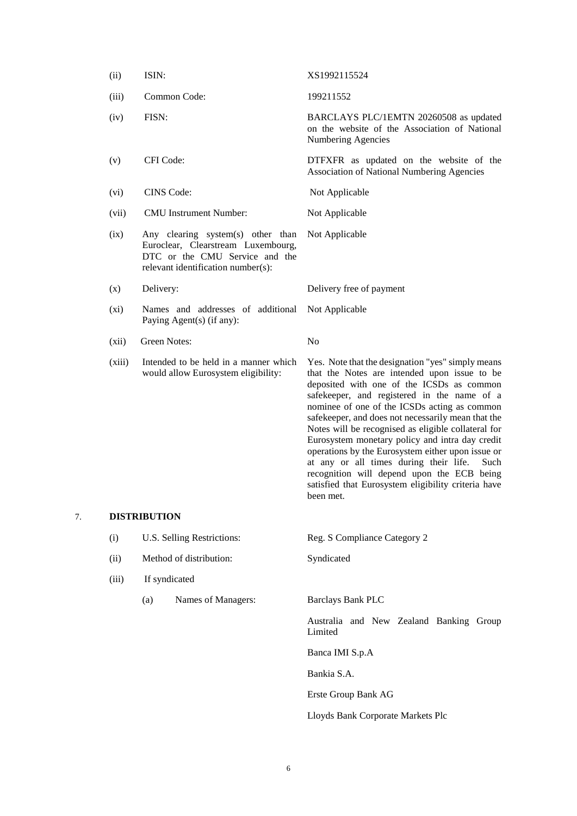|    | (ii)                  | ISIN:                                                                                                                                           | XS1992115524                                                                                                                                                                                                                                                                                                                                                                                                                                                                                                                                                                                                                           |  |  |
|----|-----------------------|-------------------------------------------------------------------------------------------------------------------------------------------------|----------------------------------------------------------------------------------------------------------------------------------------------------------------------------------------------------------------------------------------------------------------------------------------------------------------------------------------------------------------------------------------------------------------------------------------------------------------------------------------------------------------------------------------------------------------------------------------------------------------------------------------|--|--|
|    | Common Code:<br>(iii) |                                                                                                                                                 | 199211552                                                                                                                                                                                                                                                                                                                                                                                                                                                                                                                                                                                                                              |  |  |
|    | (iv)                  | FISN:                                                                                                                                           | BARCLAYS PLC/1EMTN 20260508 as updated<br>on the website of the Association of National<br>Numbering Agencies                                                                                                                                                                                                                                                                                                                                                                                                                                                                                                                          |  |  |
|    | (v)                   | CFI Code:                                                                                                                                       | DTFXFR as updated on the website of the<br>Association of National Numbering Agencies                                                                                                                                                                                                                                                                                                                                                                                                                                                                                                                                                  |  |  |
|    | (vi)                  | CINS Code:                                                                                                                                      | Not Applicable                                                                                                                                                                                                                                                                                                                                                                                                                                                                                                                                                                                                                         |  |  |
|    | (vii)                 | <b>CMU</b> Instrument Number:                                                                                                                   | Not Applicable                                                                                                                                                                                                                                                                                                                                                                                                                                                                                                                                                                                                                         |  |  |
|    | (ix)                  | Any clearing system(s) other than<br>Euroclear, Clearstream Luxembourg,<br>DTC or the CMU Service and the<br>relevant identification number(s): | Not Applicable                                                                                                                                                                                                                                                                                                                                                                                                                                                                                                                                                                                                                         |  |  |
|    | (x)                   | Delivery:                                                                                                                                       | Delivery free of payment                                                                                                                                                                                                                                                                                                                                                                                                                                                                                                                                                                                                               |  |  |
|    | (xi)                  | Names and addresses of additional<br>Paying Agent(s) (if any):                                                                                  | Not Applicable                                                                                                                                                                                                                                                                                                                                                                                                                                                                                                                                                                                                                         |  |  |
|    | (xii)                 | Green Notes:                                                                                                                                    | No                                                                                                                                                                                                                                                                                                                                                                                                                                                                                                                                                                                                                                     |  |  |
|    | (xiii)                | Intended to be held in a manner which<br>would allow Eurosystem eligibility:                                                                    | Yes. Note that the designation "yes" simply means<br>that the Notes are intended upon issue to be<br>deposited with one of the ICSDs as common<br>safekeeper, and registered in the name of a<br>nominee of one of the ICSDs acting as common<br>safekeeper, and does not necessarily mean that the<br>Notes will be recognised as eligible collateral for<br>Eurosystem monetary policy and intra day credit<br>operations by the Eurosystem either upon issue or<br>at any or all times during their life.<br>Such<br>recognition will depend upon the ECB being<br>satisfied that Eurosystem eligibility criteria have<br>been met. |  |  |
| 7. |                       | <b>DISTRIBUTION</b>                                                                                                                             |                                                                                                                                                                                                                                                                                                                                                                                                                                                                                                                                                                                                                                        |  |  |
|    | (i)                   | U.S. Selling Restrictions:                                                                                                                      | Reg. S Compliance Category 2                                                                                                                                                                                                                                                                                                                                                                                                                                                                                                                                                                                                           |  |  |
|    | (ii)                  | Method of distribution:                                                                                                                         | Syndicated                                                                                                                                                                                                                                                                                                                                                                                                                                                                                                                                                                                                                             |  |  |
|    | (iii)                 | If syndicated                                                                                                                                   |                                                                                                                                                                                                                                                                                                                                                                                                                                                                                                                                                                                                                                        |  |  |
|    |                       | Names of Managers:<br>(a)                                                                                                                       | <b>Barclays Bank PLC</b>                                                                                                                                                                                                                                                                                                                                                                                                                                                                                                                                                                                                               |  |  |
|    |                       |                                                                                                                                                 | Australia and New Zealand Banking Group<br>Limited                                                                                                                                                                                                                                                                                                                                                                                                                                                                                                                                                                                     |  |  |

Banca IMI S.p.A

Bankia S.A.

Erste Group Bank AG

Lloyds Bank Corporate Markets Plc